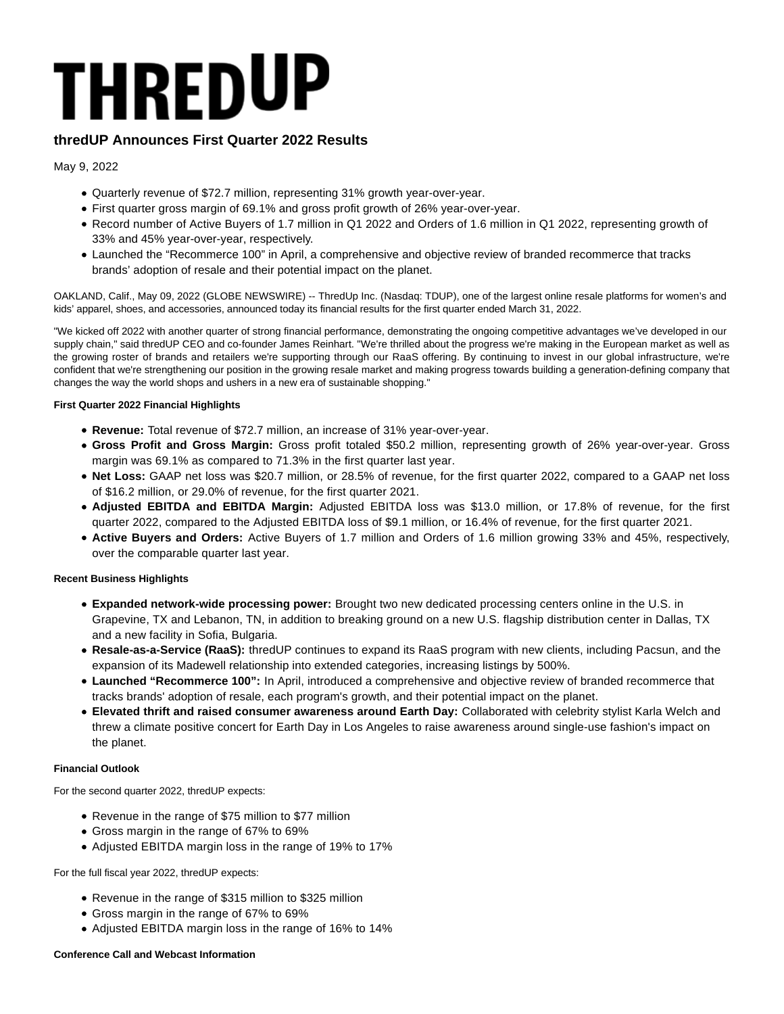# **THREDUP**

# **thredUP Announces First Quarter 2022 Results**

May 9, 2022

- Quarterly revenue of \$72.7 million, representing 31% growth year-over-year.
- First quarter gross margin of 69.1% and gross profit growth of 26% year-over-year.
- Record number of Active Buyers of 1.7 million in Q1 2022 and Orders of 1.6 million in Q1 2022, representing growth of 33% and 45% year-over-year, respectively.
- Launched the "Recommerce 100" in April, a comprehensive and objective review of branded recommerce that tracks brands' adoption of resale and their potential impact on the planet.

OAKLAND, Calif., May 09, 2022 (GLOBE NEWSWIRE) -- ThredUp Inc. (Nasdaq: TDUP), one of the largest online resale platforms for women's and kids' apparel, shoes, and accessories, announced today its financial results for the first quarter ended March 31, 2022.

"We kicked off 2022 with another quarter of strong financial performance, demonstrating the ongoing competitive advantages we've developed in our supply chain," said thredUP CEO and co-founder James Reinhart. "We're thrilled about the progress we're making in the European market as well as the growing roster of brands and retailers we're supporting through our RaaS offering. By continuing to invest in our global infrastructure, we're confident that we're strengthening our position in the growing resale market and making progress towards building a generation-defining company that changes the way the world shops and ushers in a new era of sustainable shopping."

# **First Quarter 2022 Financial Highlights**

- **Revenue:** Total revenue of \$72.7 million, an increase of 31% year-over-year.
- **Gross Profit and Gross Margin:** Gross profit totaled \$50.2 million, representing growth of 26% year-over-year. Gross margin was 69.1% as compared to 71.3% in the first quarter last year.
- **Net Loss:** GAAP net loss was \$20.7 million, or 28.5% of revenue, for the first quarter 2022, compared to a GAAP net loss of \$16.2 million, or 29.0% of revenue, for the first quarter 2021.
- **Adjusted EBITDA and EBITDA Margin:** Adjusted EBITDA loss was \$13.0 million, or 17.8% of revenue, for the first quarter 2022, compared to the Adjusted EBITDA loss of \$9.1 million, or 16.4% of revenue, for the first quarter 2021.
- **Active Buyers and Orders:** Active Buyers of 1.7 million and Orders of 1.6 million growing 33% and 45%, respectively, over the comparable quarter last year.

# **Recent Business Highlights**

- **Expanded network-wide processing power:** Brought two new dedicated processing centers online in the U.S. in Grapevine, TX and Lebanon, TN, in addition to breaking ground on a new U.S. flagship distribution center in Dallas, TX and a new facility in Sofia, Bulgaria.
- **Resale-as-a-Service (RaaS):** thredUP continues to expand its RaaS program with new clients, including Pacsun, and the expansion of its Madewell relationship into extended categories, increasing listings by 500%.
- **Launched "Recommerce 100":** In April, introduced a comprehensive and objective review of branded recommerce that tracks brands' adoption of resale, each program's growth, and their potential impact on the planet.
- **Elevated thrift and raised consumer awareness around Earth Day:** Collaborated with celebrity stylist Karla Welch and threw a climate positive concert for Earth Day in Los Angeles to raise awareness around single-use fashion's impact on the planet.

# **Financial Outlook**

For the second quarter 2022, thredUP expects:

- Revenue in the range of \$75 million to \$77 million
- Gross margin in the range of 67% to 69%
- Adjusted EBITDA margin loss in the range of 19% to 17%

For the full fiscal year 2022, thredUP expects:

- Revenue in the range of \$315 million to \$325 million
- Gross margin in the range of 67% to 69%
- Adjusted EBITDA margin loss in the range of 16% to 14%

# **Conference Call and Webcast Information**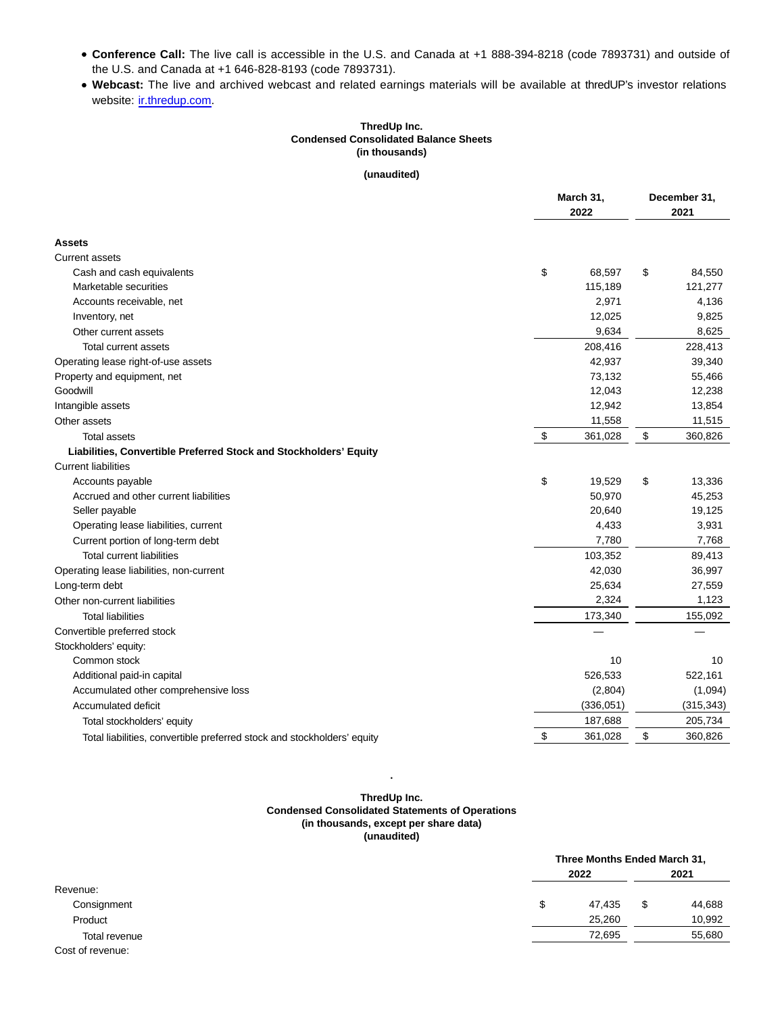- **Conference Call:** The live call is accessible in the U.S. and Canada at +1 888-394-8218 (code 7893731) and outside of the U.S. and Canada at +1 646-828-8193 (code 7893731).
- **Webcast:** The live and archived webcast and related earnings materials will be available at thredUP's investor relations website: ir.thredup.com.

## **ThredUp Inc. Condensed Consolidated Balance Sheets (in thousands)**

# **(unaudited)**

|                                                                         | March 31,<br>2022 |    | December 31,<br>2021 |  |
|-------------------------------------------------------------------------|-------------------|----|----------------------|--|
| <b>Assets</b>                                                           |                   |    |                      |  |
| <b>Current assets</b>                                                   |                   |    |                      |  |
| Cash and cash equivalents                                               | \$<br>68,597      | \$ | 84,550               |  |
| Marketable securities                                                   | 115,189           |    | 121,277              |  |
| Accounts receivable, net                                                | 2,971             |    | 4,136                |  |
| Inventory, net                                                          | 12,025            |    | 9,825                |  |
| Other current assets                                                    | 9,634             |    | 8,625                |  |
| Total current assets                                                    | 208,416           |    | 228,413              |  |
| Operating lease right-of-use assets                                     | 42,937            |    | 39,340               |  |
| Property and equipment, net                                             | 73,132            |    | 55,466               |  |
| Goodwill                                                                | 12,043            |    | 12,238               |  |
| Intangible assets                                                       | 12,942            |    | 13,854               |  |
| Other assets                                                            | 11,558            |    | 11,515               |  |
| <b>Total assets</b>                                                     | \$<br>361,028     | \$ | 360,826              |  |
| Liabilities, Convertible Preferred Stock and Stockholders' Equity       |                   |    |                      |  |
| <b>Current liabilities</b>                                              |                   |    |                      |  |
| Accounts payable                                                        | \$<br>19,529      | \$ | 13,336               |  |
| Accrued and other current liabilities                                   | 50,970            |    | 45,253               |  |
| Seller payable                                                          | 20,640            |    | 19,125               |  |
| Operating lease liabilities, current                                    | 4,433             |    | 3,931                |  |
| Current portion of long-term debt                                       | 7,780             |    | 7,768                |  |
| <b>Total current liabilities</b>                                        | 103,352           |    | 89,413               |  |
| Operating lease liabilities, non-current                                | 42,030            |    | 36,997               |  |
| Long-term debt                                                          | 25,634            |    | 27,559               |  |
| Other non-current liabilities                                           | 2,324             |    | 1,123                |  |
| <b>Total liabilities</b>                                                | 173,340           |    | 155,092              |  |
| Convertible preferred stock                                             |                   |    |                      |  |
| Stockholders' equity:                                                   |                   |    |                      |  |
| Common stock                                                            | 10                |    | 10                   |  |
| Additional paid-in capital                                              | 526,533           |    | 522,161              |  |
| Accumulated other comprehensive loss                                    | (2,804)           |    | (1,094)              |  |
| Accumulated deficit                                                     | (336, 051)        |    | (315, 343)           |  |
| Total stockholders' equity                                              | 187,688           |    | 205,734              |  |
| Total liabilities, convertible preferred stock and stockholders' equity | \$<br>361,028     | \$ | 360,826              |  |

### **ThredUp Inc. Condensed Consolidated Statements of Operations (in thousands, except per share data) (unaudited)**

**.**

|                  | Three Months Ended March 31, |   |        |  |
|------------------|------------------------------|---|--------|--|
|                  | 2022                         |   | 2021   |  |
| Revenue:         |                              |   |        |  |
| Consignment      | \$<br>47.435                 | S | 44,688 |  |
| Product          | 25,260                       |   | 10,992 |  |
| Total revenue    | 72,695                       |   | 55,680 |  |
| Cost of revenue: |                              |   |        |  |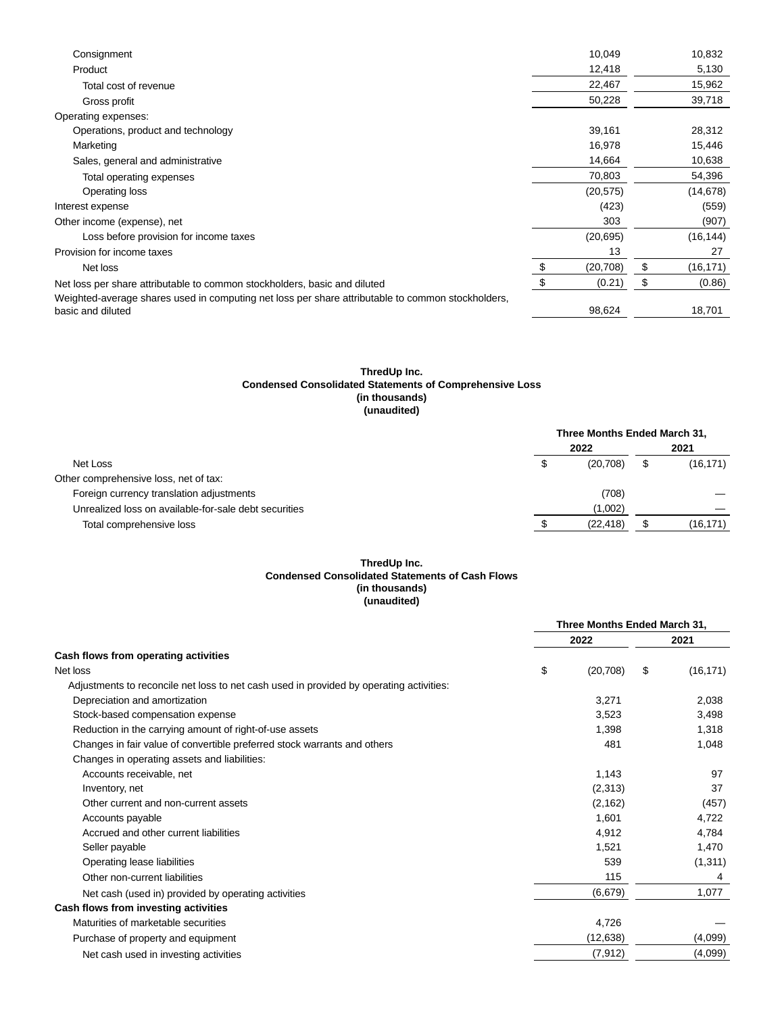| Consignment                                                                                                            | 10,049          | 10,832          |
|------------------------------------------------------------------------------------------------------------------------|-----------------|-----------------|
| Product                                                                                                                | 12,418          | 5,130           |
| Total cost of revenue                                                                                                  | 22,467          | 15,962          |
| Gross profit                                                                                                           | 50,228          | 39,718          |
| Operating expenses:                                                                                                    |                 |                 |
| Operations, product and technology                                                                                     | 39,161          | 28,312          |
| Marketing                                                                                                              | 16,978          | 15,446          |
| Sales, general and administrative                                                                                      | 14,664          | 10,638          |
| Total operating expenses                                                                                               | 70,803          | 54,396          |
| Operating loss                                                                                                         | (20, 575)       | (14, 678)       |
| Interest expense                                                                                                       | (423)           | (559)           |
| Other income (expense), net                                                                                            | 303             | (907)           |
| Loss before provision for income taxes                                                                                 | (20, 695)       | (16, 144)       |
| Provision for income taxes                                                                                             | 13              | 27              |
| Net loss                                                                                                               | \$<br>(20, 708) | \$<br>(16, 171) |
| Net loss per share attributable to common stockholders, basic and diluted                                              | \$<br>(0.21)    | \$<br>(0.86)    |
| Weighted-average shares used in computing net loss per share attributable to common stockholders,<br>basic and diluted | 98,624          | 18,701          |
|                                                                                                                        |                 |                 |

### **ThredUp Inc. Condensed Consolidated Statements of Comprehensive Loss (in thousands) (unaudited)**

|                                                       | Three Months Ended March 31, |  |           |  |
|-------------------------------------------------------|------------------------------|--|-----------|--|
|                                                       | 2022                         |  | 2021      |  |
| Net Loss                                              | \$<br>(20,708)               |  | (16, 171) |  |
| Other comprehensive loss, net of tax:                 |                              |  |           |  |
| Foreign currency translation adjustments              | (708)                        |  |           |  |
| Unrealized loss on available-for-sale debt securities | (1,002)                      |  |           |  |
| Total comprehensive loss                              | (22, 418)                    |  | (16,171)  |  |

### **ThredUp Inc. Condensed Consolidated Statements of Cash Flows (in thousands) (unaudited)**

|                                                                                         | Three Months Ended March 31, |           |    |           |
|-----------------------------------------------------------------------------------------|------------------------------|-----------|----|-----------|
|                                                                                         |                              | 2022      |    | 2021      |
| Cash flows from operating activities                                                    |                              |           |    |           |
| Net loss                                                                                | \$                           | (20, 708) | \$ | (16, 171) |
| Adjustments to reconcile net loss to net cash used in provided by operating activities: |                              |           |    |           |
| Depreciation and amortization                                                           |                              | 3,271     |    | 2,038     |
| Stock-based compensation expense                                                        |                              | 3,523     |    | 3,498     |
| Reduction in the carrying amount of right-of-use assets                                 |                              | 1,398     |    | 1,318     |
| Changes in fair value of convertible preferred stock warrants and others                |                              | 481       |    | 1,048     |
| Changes in operating assets and liabilities:                                            |                              |           |    |           |
| Accounts receivable, net                                                                |                              | 1,143     |    | 97        |
| Inventory, net                                                                          |                              | (2,313)   |    | 37        |
| Other current and non-current assets                                                    |                              | (2, 162)  |    | (457)     |
| Accounts payable                                                                        |                              | 1,601     |    | 4,722     |
| Accrued and other current liabilities                                                   |                              | 4,912     |    | 4,784     |
| Seller payable                                                                          |                              | 1,521     |    | 1,470     |
| Operating lease liabilities                                                             |                              | 539       |    | (1, 311)  |
| Other non-current liabilities                                                           |                              | 115       |    | 4         |
| Net cash (used in) provided by operating activities                                     |                              | (6,679)   |    | 1,077     |
| Cash flows from investing activities                                                    |                              |           |    |           |
| Maturities of marketable securities                                                     |                              | 4,726     |    |           |
| Purchase of property and equipment                                                      |                              | (12, 638) |    | (4,099)   |
| Net cash used in investing activities                                                   |                              | (7, 912)  |    | (4,099)   |
|                                                                                         |                              |           |    |           |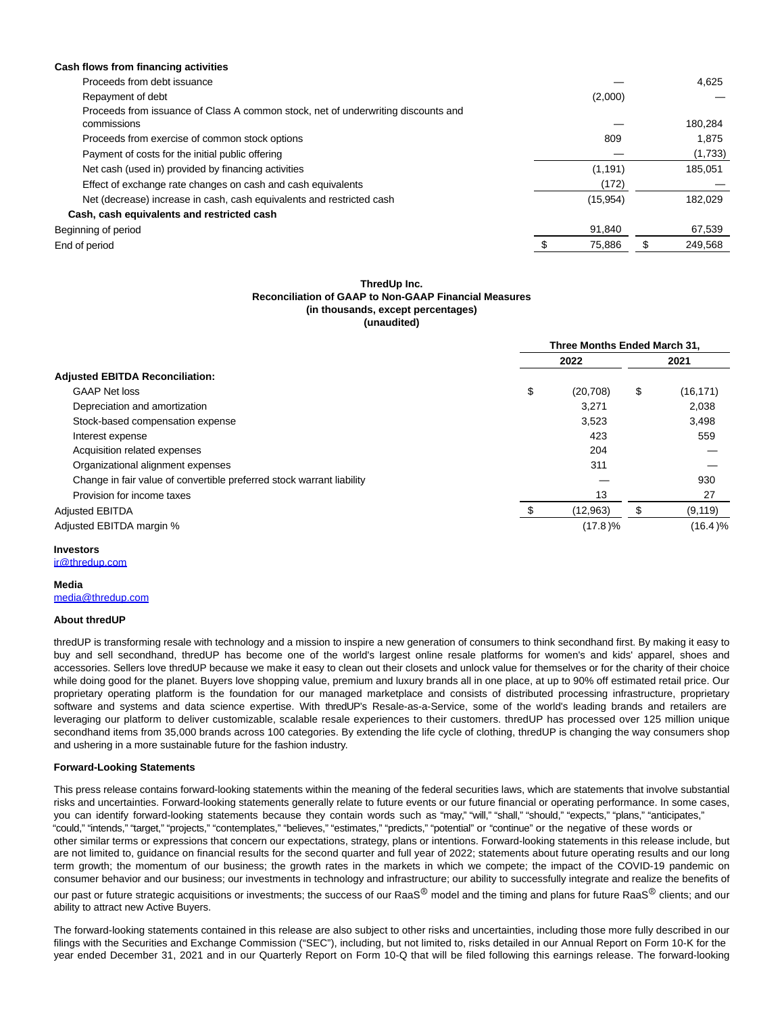| Proceeds from debt issuance                                                                      |   |          |   | 4,625   |
|--------------------------------------------------------------------------------------------------|---|----------|---|---------|
| Repayment of debt                                                                                |   | (2,000)  |   |         |
| Proceeds from issuance of Class A common stock, net of underwriting discounts and<br>commissions |   |          |   | 180.284 |
| Proceeds from exercise of common stock options                                                   |   | 809      |   | 1.875   |
| Payment of costs for the initial public offering                                                 |   |          |   | (1,733) |
| Net cash (used in) provided by financing activities                                              |   | (1, 191) |   | 185,051 |
| Effect of exchange rate changes on cash and cash equivalents                                     |   | (172)    |   |         |
| Net (decrease) increase in cash, cash equivalents and restricted cash                            |   | (15,954) |   | 182.029 |
| Cash, cash equivalents and restricted cash                                                       |   |          |   |         |
| Beginning of period                                                                              |   | 91.840   |   | 67.539  |
| End of period                                                                                    | S | 75.886   | S | 249.568 |

### **ThredUp Inc. Reconciliation of GAAP to Non-GAAP Financial Measures (in thousands, except percentages) (unaudited)**

|                                                                       | Three Months Ended March 31, |    |            |  |
|-----------------------------------------------------------------------|------------------------------|----|------------|--|
|                                                                       | 2022                         |    | 2021       |  |
| <b>Adjusted EBITDA Reconciliation:</b>                                |                              |    |            |  |
| <b>GAAP Net loss</b>                                                  | \$<br>(20, 708)              | \$ | (16, 171)  |  |
| Depreciation and amortization                                         | 3,271                        |    | 2,038      |  |
| Stock-based compensation expense                                      | 3,523                        |    | 3,498      |  |
| Interest expense                                                      | 423                          |    | 559        |  |
| Acquisition related expenses                                          | 204                          |    |            |  |
| Organizational alignment expenses                                     | 311                          |    |            |  |
| Change in fair value of convertible preferred stock warrant liability |                              |    | 930        |  |
| Provision for income taxes                                            | 13                           |    | 27         |  |
| <b>Adjusted EBITDA</b>                                                | (12,963)                     |    | (9, 119)   |  |
| Adjusted EBITDA margin %                                              | $(17.8)$ %                   |    | $(16.4)\%$ |  |

**Investors** [ir@thredup.com](https://www.globenewswire.com/Tracker?data=c7b-jlAzwsFFzsAEiiQQOCppandTZi2T_7EUPv66-xujRbqp_9hkR2OuKrHKjD0-WB0Bvg3EjA7GaHWGtZDv0g==)

**Media** [media@thredup.com](https://www.globenewswire.com/Tracker?data=pgKuJbmiamVYuvd-g2XHtTgksoViMgQ_zWj-2YmrX0ja5MAkruSA6FVRzpVME1z4h-4685J5dRiAl6i0izJ2yQ==)

### **About thredUP**

thredUP is transforming resale with technology and a mission to inspire a new generation of consumers to think secondhand first. By making it easy to buy and sell secondhand, thredUP has become one of the world's largest online resale platforms for women's and kids' apparel, shoes and accessories. Sellers love thredUP because we make it easy to clean out their closets and unlock value for themselves or for the charity of their choice while doing good for the planet. Buyers love shopping value, premium and luxury brands all in one place, at up to 90% off estimated retail price. Our proprietary operating platform is the foundation for our managed marketplace and consists of distributed processing infrastructure, proprietary software and systems and data science expertise. With thredUP's Resale-as-a-Service, some of the world's leading brands and retailers are leveraging our platform to deliver customizable, scalable resale experiences to their customers. thredUP has processed over 125 million unique secondhand items from 35,000 brands across 100 categories. By extending the life cycle of clothing, thredUP is changing the way consumers shop and ushering in a more sustainable future for the fashion industry.

### **Forward-Looking Statements**

This press release contains forward-looking statements within the meaning of the federal securities laws, which are statements that involve substantial risks and uncertainties. Forward-looking statements generally relate to future events or our future financial or operating performance. In some cases, you can identify forward-looking statements because they contain words such as "may," "will," "shall," "should," "expects," "plans," "anticipates," "could," "intends," "target," "projects," "contemplates," "believes," "estimates," "predicts," "potential" or "continue" or the negative of these words or other similar terms or expressions that concern our expectations, strategy, plans or intentions. Forward-looking statements in this release include, but are not limited to, guidance on financial results for the second quarter and full year of 2022; statements about future operating results and our long term growth; the momentum of our business; the growth rates in the markets in which we compete; the impact of the COVID-19 pandemic on consumer behavior and our business; our investments in technology and infrastructure; our ability to successfully integrate and realize the benefits of our past or future strategic acquisitions or investments; the success of our RaaS<sup>®</sup> model and the timing and plans for future RaaS<sup>®</sup> clients; and our ability to attract new Active Buyers.

The forward-looking statements contained in this release are also subject to other risks and uncertainties, including those more fully described in our filings with the Securities and Exchange Commission ("SEC"), including, but not limited to, risks detailed in our Annual Report on Form 10-K for the year ended December 31, 2021 and in our Quarterly Report on Form 10-Q that will be filed following this earnings release. The forward-looking